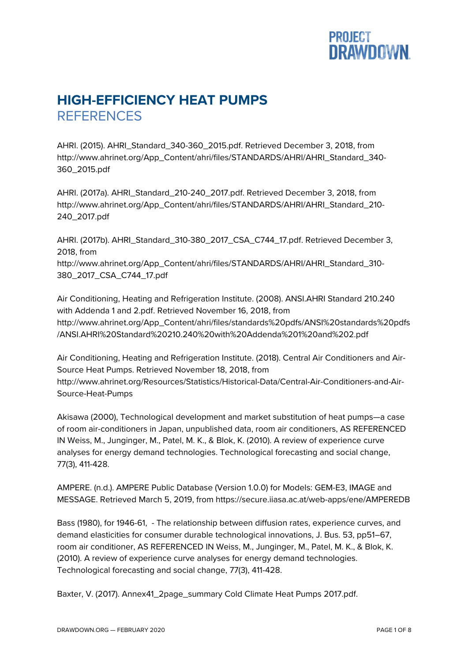## **PROJECT<br>DRAWDOWN.**

## **HIGH-EFFICIENCY HEAT PUMPS REFERENCES**

AHRI. (2015). AHRI\_Standard\_340-360\_2015.pdf. Retrieved December 3, 2018, from http://www.ahrinet.org/App\_Content/ahri/files/STANDARDS/AHRI/AHRI\_Standard\_340- 360\_2015.pdf

AHRI. (2017a). AHRI\_Standard\_210-240\_2017.pdf. Retrieved December 3, 2018, from http://www.ahrinet.org/App\_Content/ahri/files/STANDARDS/AHRI/AHRI\_Standard\_210- 240\_2017.pdf

AHRI. (2017b). AHRI\_Standard\_310-380\_2017\_CSA\_C744\_17.pdf. Retrieved December 3, 2018, from http://www.ahrinet.org/App\_Content/ahri/files/STANDARDS/AHRI/AHRI\_Standard\_310-380\_2017\_CSA\_C744\_17.pdf

Air Conditioning, Heating and Refrigeration Institute. (2008). ANSI.AHRI Standard 210.240 with Addenda 1 and 2.pdf. Retrieved November 16, 2018, from http://www.ahrinet.org/App\_Content/ahri/files/standards%20pdfs/ANSI%20standards%20pdfs /ANSI.AHRI%20Standard%20210.240%20with%20Addenda%201%20and%202.pdf

Air Conditioning, Heating and Refrigeration Institute. (2018). Central Air Conditioners and Air-Source Heat Pumps. Retrieved November 18, 2018, from http://www.ahrinet.org/Resources/Statistics/Historical-Data/Central-Air-Conditioners-and-Air-Source-Heat-Pumps

Akisawa (2000), Technological development and market substitution of heat pumps—a case of room air-conditioners in Japan, unpublished data, room air conditioners, AS REFERENCED IN Weiss, M., Junginger, M., Patel, M. K., & Blok, K. (2010). A review of experience curve analyses for energy demand technologies. Technological forecasting and social change, 77(3), 411-428.

AMPERE. (n.d.). AMPERE Public Database (Version 1.0.0) for Models: GEM-E3, IMAGE and MESSAGE. Retrieved March 5, 2019, from https://secure.iiasa.ac.at/web-apps/ene/AMPEREDB

Bass (1980), for 1946-61, - The relationship between diffusion rates, experience curves, and demand elasticities for consumer durable technological innovations, J. Bus. 53, pp51–67, room air conditioner, AS REFERENCED IN Weiss, M., Junginger, M., Patel, M. K., & Blok, K. (2010). A review of experience curve analyses for energy demand technologies. Technological forecasting and social change, 77(3), 411-428.

Baxter, V. (2017). Annex41\_2page\_summary Cold Climate Heat Pumps 2017.pdf.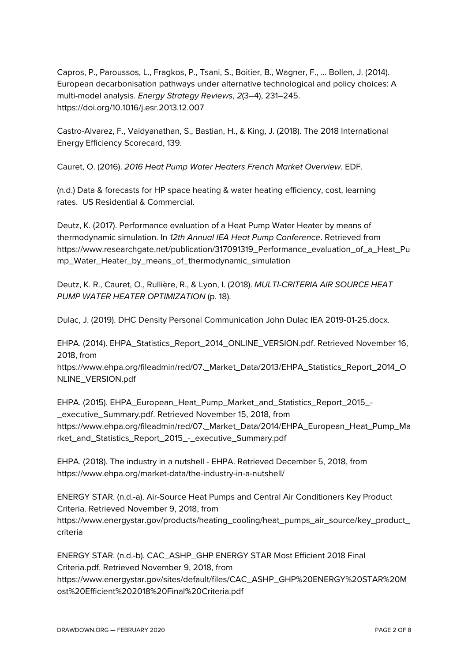Capros, P., Paroussos, L., Fragkos, P., Tsani, S., Boitier, B., Wagner, F., … Bollen, J. (2014). European decarbonisation pathways under alternative technological and policy choices: A multi-model analysis. *Energy Strategy Reviews*, *2*(3–4), 231–245. https://doi.org/10.1016/j.esr.2013.12.007

Castro-Alvarez, F., Vaidyanathan, S., Bastian, H., & King, J. (2018). The 2018 International Energy Efficiency Scorecard, 139.

Cauret, O. (2016). *2016 Heat Pump Water Heaters French Market Overview.* EDF.

(n.d.) Data & forecasts for HP space heating & water heating efficiency, cost, learning rates. US Residential & Commercial.

Deutz, K. (2017). Performance evaluation of a Heat Pump Water Heater by means of thermodynamic simulation. In *12th Annual IEA Heat Pump Conference*. Retrieved from https://www.researchgate.net/publication/317091319\_Performance\_evaluation\_of\_a\_Heat\_Pu mp\_Water\_Heater\_by\_means\_of\_thermodynamic\_simulation

Deutz, K. R., Cauret, O., Rullière, R., & Lyon, I. (2018). *MULTI-CRITERIA AIR SOURCE HEAT PUMP WATER HEATER OPTIMIZATION* (p. 18).

Dulac, J. (2019). DHC Density Personal Communication John Dulac IEA 2019-01-25.docx.

EHPA. (2014). EHPA\_Statistics\_Report\_2014\_ONLINE\_VERSION.pdf. Retrieved November 16, 2018, from

https://www.ehpa.org/fileadmin/red/07.\_Market\_Data/2013/EHPA\_Statistics\_Report\_2014\_O NLINE\_VERSION.pdf

EHPA. (2015). EHPA\_European\_Heat\_Pump\_Market\_and\_Statistics\_Report\_2015\_- \_executive\_Summary.pdf. Retrieved November 15, 2018, from https://www.ehpa.org/fileadmin/red/07. Market\_Data/2014/EHPA\_European\_Heat\_Pump\_Ma rket\_and\_Statistics\_Report\_2015\_-\_executive\_Summary.pdf

EHPA. (2018). The industry in a nutshell - EHPA. Retrieved December 5, 2018, from https://www.ehpa.org/market-data/the-industry-in-a-nutshell/

ENERGY STAR. (n.d.-a). Air-Source Heat Pumps and Central Air Conditioners Key Product Criteria. Retrieved November 9, 2018, from https://www.energystar.gov/products/heating\_cooling/heat\_pumps\_air\_source/key\_product\_ criteria

ENERGY STAR. (n.d.-b). CAC\_ASHP\_GHP ENERGY STAR Most Efficient 2018 Final Criteria.pdf. Retrieved November 9, 2018, from https://www.energystar.gov/sites/default/files/CAC\_ASHP\_GHP%20ENERGY%20STAR%20M ost%20Efficient%202018%20Final%20Criteria.pdf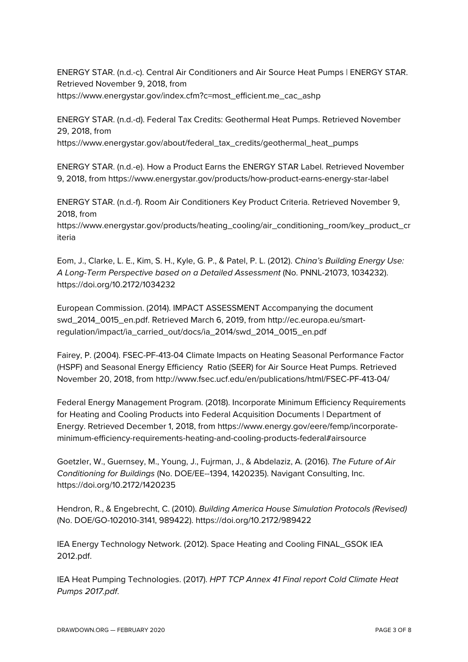ENERGY STAR. (n.d.-c). Central Air Conditioners and Air Source Heat Pumps | ENERGY STAR. Retrieved November 9, 2018, from https://www.energystar.gov/index.cfm?c=most\_efficient.me\_cac\_ashp

ENERGY STAR. (n.d.-d). Federal Tax Credits: Geothermal Heat Pumps. Retrieved November 29, 2018, from

https://www.energystar.gov/about/federal\_tax\_credits/geothermal\_heat\_pumps

ENERGY STAR. (n.d.-e). How a Product Earns the ENERGY STAR Label. Retrieved November 9, 2018, from https://www.energystar.gov/products/how-product-earns-energy-star-label

ENERGY STAR. (n.d.-f). Room Air Conditioners Key Product Criteria. Retrieved November 9, 2018, from

https://www.energystar.gov/products/heating\_cooling/air\_conditioning\_room/key\_product\_cr iteria

Eom, J., Clarke, L. E., Kim, S. H., Kyle, G. P., & Patel, P. L. (2012). *China's Building Energy Use: A Long-Term Perspective based on a Detailed Assessment* (No. PNNL-21073, 1034232). https://doi.org/10.2172/1034232

European Commission. (2014). IMPACT ASSESSMENT Accompanying the document swd\_2014\_0015\_en.pdf. Retrieved March 6, 2019, from http://ec.europa.eu/smartregulation/impact/ia\_carried\_out/docs/ia\_2014/swd\_2014\_0015\_en.pdf

Fairey, P. (2004). FSEC-PF-413-04 Climate Impacts on Heating Seasonal Performance Factor (HSPF) and Seasonal Energy Efficiency Ratio (SEER) for Air Source Heat Pumps. Retrieved November 20, 2018, from http://www.fsec.ucf.edu/en/publications/html/FSEC-PF-413-04/

Federal Energy Management Program. (2018). Incorporate Minimum Efficiency Requirements for Heating and Cooling Products into Federal Acquisition Documents | Department of Energy. Retrieved December 1, 2018, from https://www.energy.gov/eere/femp/incorporateminimum-efficiency-requirements-heating-and-cooling-products-federal#airsource

Goetzler, W., Guernsey, M., Young, J., Fujrman, J., & Abdelaziz, A. (2016). *The Future of Air Conditioning for Buildings* (No. DOE/EE--1394, 1420235). Navigant Consulting, Inc. https://doi.org/10.2172/1420235

Hendron, R., & Engebrecht, C. (2010). *Building America House Simulation Protocols (Revised)* (No. DOE/GO-102010-3141, 989422). https://doi.org/10.2172/989422

IEA Energy Technology Network. (2012). Space Heating and Cooling FINAL\_GSOK IEA 2012.pdf.

IEA Heat Pumping Technologies. (2017). *HPT TCP Annex 41 Final report Cold Climate Heat Pumps 2017.pdf*.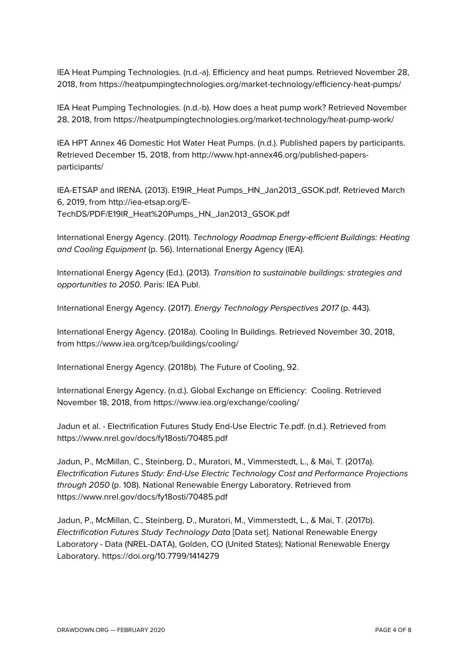IEA Heat Pumping Technologies. (n.d.-a). Efficiency and heat pumps. Retrieved November 28, 2018, from https://heatpumpingtechnologies.org/market-technology/efficiency-heat-pumps/

IEA Heat Pumping Technologies. (n.d.-b). How does a heat pump work? Retrieved November 28, 2018, from https://heatpumpingtechnologies.org/market-technology/heat-pump-work/

IEA HPT Annex 46 Domestic Hot Water Heat Pumps. (n.d.). Published papers by participants. Retrieved December 15, 2018, from http://www.hpt-annex46.org/published-papersparticipants/

IEA-ETSAP and IRENA. (2013). E19IR\_Heat Pumps\_HN\_Jan2013\_GSOK.pdf. Retrieved March 6, 2019, from http://iea-etsap.org/E-TechDS/PDF/E19IR\_Heat%20Pumps\_HN\_Jan2013\_GSOK.pdf

International Energy Agency. (2011). *Technology Roadmap Energy-efficient Buildings: Heating and Cooling Equipment* (p. 56). International Energy Agency (IEA).

International Energy Agency (Ed.). (2013). *Transition to sustainable buildings: strategies and opportunities to 2050*. Paris: IEA Publ.

International Energy Agency. (2017). *Energy Technology Perspectives 2017* (p. 443).

International Energy Agency. (2018a). Cooling In Buildings. Retrieved November 30, 2018, from https://www.iea.org/tcep/buildings/cooling/

International Energy Agency. (2018b). The Future of Cooling, 92.

International Energy Agency. (n.d.). Global Exchange on Efficiency: Cooling. Retrieved November 18, 2018, from https://www.iea.org/exchange/cooling/

Jadun et al. - Electrification Futures Study End-Use Electric Te.pdf. (n.d.). Retrieved from https://www.nrel.gov/docs/fy18osti/70485.pdf

Jadun, P., McMillan, C., Steinberg, D., Muratori, M., Vimmerstedt, L., & Mai, T. (2017a). *Electrification Futures Study: End-Use Electric Technology Cost and Performance Projections through 2050* (p. 108). National Renewable Energy Laboratory. Retrieved from https://www.nrel.gov/docs/fy18osti/70485.pdf

Jadun, P., McMillan, C., Steinberg, D., Muratori, M., Vimmerstedt, L., & Mai, T. (2017b). *Electrification Futures Study Technology Data* [Data set]. National Renewable Energy Laboratory - Data (NREL-DATA), Golden, CO (United States); National Renewable Energy Laboratory. https://doi.org/10.7799/1414279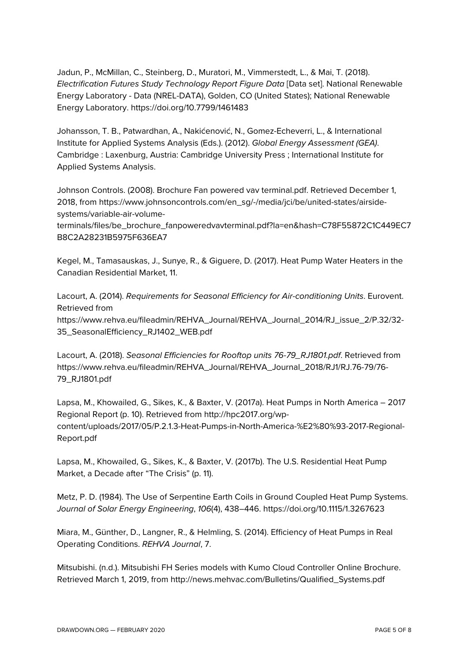Jadun, P., McMillan, C., Steinberg, D., Muratori, M., Vimmerstedt, L., & Mai, T. (2018). *Electrification Futures Study Technology Report Figure Data* [Data set]. National Renewable Energy Laboratory - Data (NREL-DATA), Golden, CO (United States); National Renewable Energy Laboratory. https://doi.org/10.7799/1461483

Johansson, T. B., Patwardhan, A., Nakićenović, N., Gomez-Echeverri, L., & International Institute for Applied Systems Analysis (Eds.). (2012). *Global Energy Assessment (GEA)*. Cambridge : Laxenburg, Austria: Cambridge University Press ; International Institute for Applied Systems Analysis.

Johnson Controls. (2008). Brochure Fan powered vav terminal.pdf. Retrieved December 1, 2018, from https://www.johnsoncontrols.com/en\_sg/-/media/jci/be/united-states/airsidesystems/variable-air-volume-

terminals/files/be\_brochure\_fanpoweredvavterminal.pdf?la=en&hash=C78F55872C1C449EC7 B8C2A28231B5975F636EA7

Kegel, M., Tamasauskas, J., Sunye, R., & Giguere, D. (2017). Heat Pump Water Heaters in the Canadian Residential Market, 11.

Lacourt, A. (2014). *Requirements for Seasonal Efficiency for Air-conditioning Units*. Eurovent. Retrieved from https://www.rehva.eu/fileadmin/REHVA\_Journal/REHVA\_Journal\_2014/RJ\_issue\_2/P.32/32- 35\_SeasonalEfficiency\_RJ1402\_WEB.pdf

Lacourt, A. (2018). *Seasonal Efficiencies for Rooftop units 76-79\_RJ1801.pdf*. Retrieved from https://www.rehva.eu/fileadmin/REHVA\_Journal/REHVA\_Journal\_2018/RJ1/RJ.76-79/76- 79\_RJ1801.pdf

Lapsa, M., Khowailed, G., Sikes, K., & Baxter, V. (2017a). Heat Pumps in North America – 2017 Regional Report (p. 10). Retrieved from http://hpc2017.org/wpcontent/uploads/2017/05/P.2.1.3-Heat-Pumps-in-North-America-%E2%80%93-2017-Regional-Report.pdf

Lapsa, M., Khowailed, G., Sikes, K., & Baxter, V. (2017b). The U.S. Residential Heat Pump Market, a Decade after "The Crisis" (p. 11).

Metz, P. D. (1984). The Use of Serpentine Earth Coils in Ground Coupled Heat Pump Systems. *Journal of Solar Energy Engineering*, *106*(4), 438–446. https://doi.org/10.1115/1.3267623

Miara, M., Günther, D., Langner, R., & Helmling, S. (2014). Efficiency of Heat Pumps in Real Operating Conditions. *REHVA Journal*, 7.

Mitsubishi. (n.d.). Mitsubishi FH Series models with Kumo Cloud Controller Online Brochure. Retrieved March 1, 2019, from http://news.mehvac.com/Bulletins/Qualified\_Systems.pdf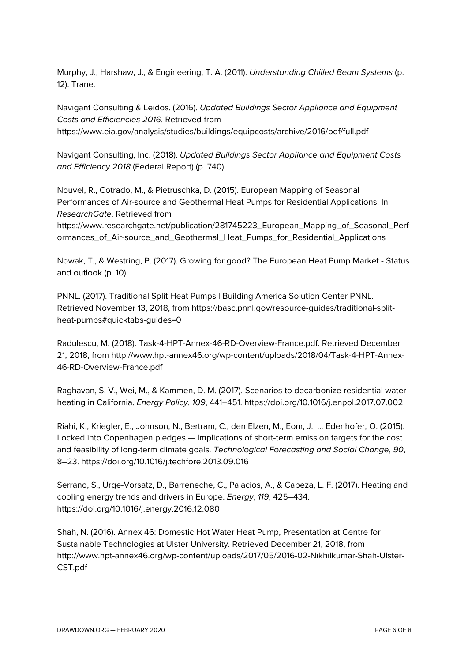Murphy, J., Harshaw, J., & Engineering, T. A. (2011). *Understanding Chilled Beam Systems* (p. 12). Trane.

Navigant Consulting & Leidos. (2016). *Updated Buildings Sector Appliance and Equipment Costs and Efficiencies 2016*. Retrieved from https://www.eia.gov/analysis/studies/buildings/equipcosts/archive/2016/pdf/full.pdf

Navigant Consulting, Inc. (2018). *Updated Buildings Sector Appliance and Equipment Costs and Efficiency 2018* (Federal Report) (p. 740).

Nouvel, R., Cotrado, M., & Pietruschka, D. (2015). European Mapping of Seasonal Performances of Air-source and Geothermal Heat Pumps for Residential Applications. In *ResearchGate*. Retrieved from

https://www.researchgate.net/publication/281745223\_European\_Mapping\_of\_Seasonal\_Perf ormances\_of\_Air-source\_and\_Geothermal\_Heat\_Pumps\_for\_Residential\_Applications

Nowak, T., & Westring, P. (2017). Growing for good? The European Heat Pump Market - Status and outlook (p. 10).

PNNL. (2017). Traditional Split Heat Pumps | Building America Solution Center PNNL. Retrieved November 13, 2018, from https://basc.pnnl.gov/resource-guides/traditional-splitheat-pumps#quicktabs-guides=0

Radulescu, M. (2018). Task-4-HPT-Annex-46-RD-Overview-France.pdf. Retrieved December 21, 2018, from http://www.hpt-annex46.org/wp-content/uploads/2018/04/Task-4-HPT-Annex-46-RD-Overview-France.pdf

Raghavan, S. V., Wei, M., & Kammen, D. M. (2017). Scenarios to decarbonize residential water heating in California. *Energy Policy*, *109*, 441–451. https://doi.org/10.1016/j.enpol.2017.07.002

Riahi, K., Kriegler, E., Johnson, N., Bertram, C., den Elzen, M., Eom, J., … Edenhofer, O. (2015). Locked into Copenhagen pledges — Implications of short-term emission targets for the cost and feasibility of long-term climate goals. *Technological Forecasting and Social Change*, *90*, 8–23. https://doi.org/10.1016/j.techfore.2013.09.016

Serrano, S., Ürge-Vorsatz, D., Barreneche, C., Palacios, A., & Cabeza, L. F. (2017). Heating and cooling energy trends and drivers in Europe. *Energy*, *119*, 425–434. https://doi.org/10.1016/j.energy.2016.12.080

Shah, N. (2016). Annex 46: Domestic Hot Water Heat Pump, Presentation at Centre for Sustainable Technologies at Ulster University. Retrieved December 21, 2018, from http://www.hpt-annex46.org/wp-content/uploads/2017/05/2016-02-Nikhilkumar-Shah-Ulster-CST.pdf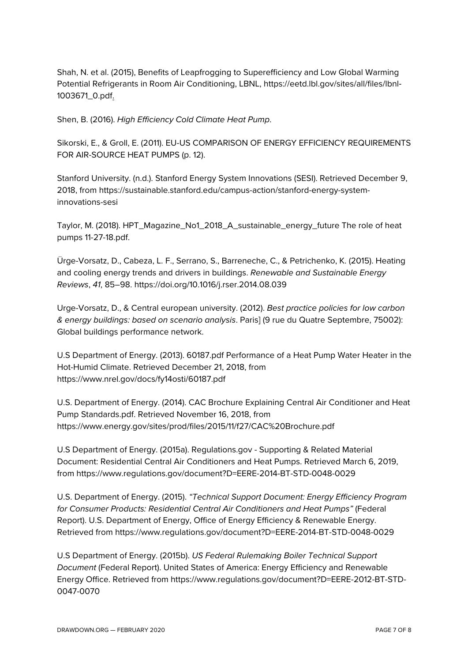Shah, N. et al. (2015), Benefits of Leapfrogging to Superefficiency and Low Global Warming Potential Refrigerants in Room Air Conditioning, LBNL, https://eetd.lbl.gov/sites/all/files/lbnl-1003671\_0.pdf.

Shen, B. (2016). *High Efficiency Cold Climate Heat Pump*.

Sikorski, E., & Groll, E. (2011). EU-US COMPARISON OF ENERGY EFFICIENCY REQUIREMENTS FOR AIR-SOURCE HEAT PUMPS (p. 12).

Stanford University. (n.d.). Stanford Energy System Innovations (SESI). Retrieved December 9, 2018, from https://sustainable.stanford.edu/campus-action/stanford-energy-systeminnovations-sesi

Taylor, M. (2018). HPT\_Magazine\_No1\_2018\_A\_sustainable\_energy\_future The role of heat pumps 11-27-18.pdf.

Ürge-Vorsatz, D., Cabeza, L. F., Serrano, S., Barreneche, C., & Petrichenko, K. (2015). Heating and cooling energy trends and drivers in buildings. *Renewable and Sustainable Energy Reviews*, *41*, 85–98. https://doi.org/10.1016/j.rser.2014.08.039

Urge-Vorsatz, D., & Central european university. (2012). *Best practice policies for low carbon & energy buildings: based on scenario analysis*. Paris] (9 rue du Quatre Septembre, 75002): Global buildings performance network.

U.S Department of Energy. (2013). 60187.pdf Performance of a Heat Pump Water Heater in the Hot-Humid Climate. Retrieved December 21, 2018, from https://www.nrel.gov/docs/fy14osti/60187.pdf

U.S. Department of Energy. (2014). CAC Brochure Explaining Central Air Conditioner and Heat Pump Standards.pdf. Retrieved November 16, 2018, from https://www.energy.gov/sites/prod/files/2015/11/f27/CAC%20Brochure.pdf

U.S Department of Energy. (2015a). Regulations.gov - Supporting & Related Material Document: Residential Central Air Conditioners and Heat Pumps. Retrieved March 6, 2019, from https://www.regulations.gov/document?D=EERE-2014-BT-STD-0048-0029

U.S. Department of Energy. (2015). *"Technical Support Document: Energy Efficiency Program for Consumer Products: Residential Central Air Conditioners and Heat Pumps"* (Federal Report). U.S. Department of Energy, Office of Energy Efficiency & Renewable Energy. Retrieved from https://www.regulations.gov/document?D=EERE-2014-BT-STD-0048-0029

U.S Department of Energy. (2015b). *US Federal Rulemaking Boiler Technical Support Document* (Federal Report). United States of America: Energy Efficiency and Renewable Energy Office. Retrieved from https://www.regulations.gov/document?D=EERE-2012-BT-STD-0047-0070